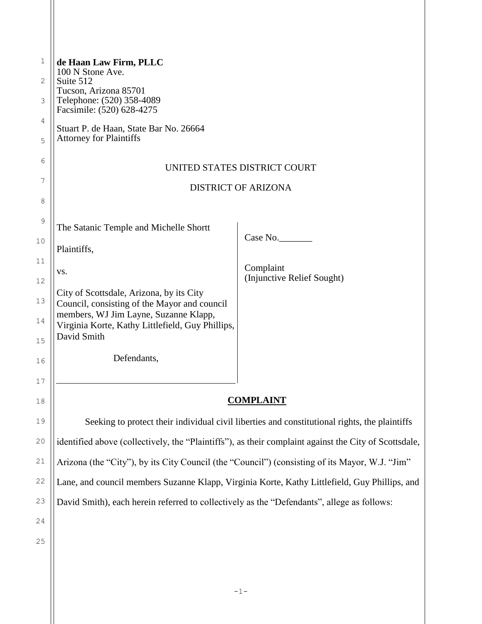| $\mathbf 1$ | de Haan Law Firm, PLLC<br>100 N Stone Ave.                                                            |                                         |  |
|-------------|-------------------------------------------------------------------------------------------------------|-----------------------------------------|--|
| 2           | Suite 512<br>Tucson, Arizona 85701                                                                    |                                         |  |
| 3           | Telephone: (520) 358-4089<br>Facsimile: (520) 628-4275                                                |                                         |  |
| 4           | Stuart P. de Haan, State Bar No. 26664                                                                |                                         |  |
| 5           | <b>Attorney for Plaintiffs</b>                                                                        |                                         |  |
| 6           | UNITED STATES DISTRICT COURT                                                                          |                                         |  |
| 7           | <b>DISTRICT OF ARIZONA</b>                                                                            |                                         |  |
| 8           |                                                                                                       |                                         |  |
| 9           | The Satanic Temple and Michelle Shortt                                                                |                                         |  |
| 10          |                                                                                                       | Case No.                                |  |
| 11          | Plaintiffs,                                                                                           |                                         |  |
| 12          | VS.                                                                                                   | Complaint<br>(Injunctive Relief Sought) |  |
| 13          | City of Scottsdale, Arizona, by its City                                                              |                                         |  |
|             | Council, consisting of the Mayor and council<br>members, WJ Jim Layne, Suzanne Klapp,                 |                                         |  |
| 14          | Virginia Korte, Kathy Littlefield, Guy Phillips,<br>David Smith                                       |                                         |  |
| 15          |                                                                                                       |                                         |  |
| 16          | Defendants,                                                                                           |                                         |  |
| 17          |                                                                                                       |                                         |  |
| 18          | <u>COMPLAINT</u>                                                                                      |                                         |  |
| 19          | Seeking to protect their individual civil liberties and constitutional rights, the plaintiffs         |                                         |  |
| 20          | identified above (collectively, the "Plaintiffs"), as their complaint against the City of Scottsdale, |                                         |  |
| $21$        | Arizona (the "City"), by its City Council (the "Council") (consisting of its Mayor, W.J. "Jim"        |                                         |  |
| 22          | Lane, and council members Suzanne Klapp, Virginia Korte, Kathy Littlefield, Guy Phillips, and         |                                         |  |
| 23          | David Smith), each herein referred to collectively as the "Defendants", allege as follows:            |                                         |  |
| 24          |                                                                                                       |                                         |  |
| 25          |                                                                                                       |                                         |  |

 $\mathsf{I}$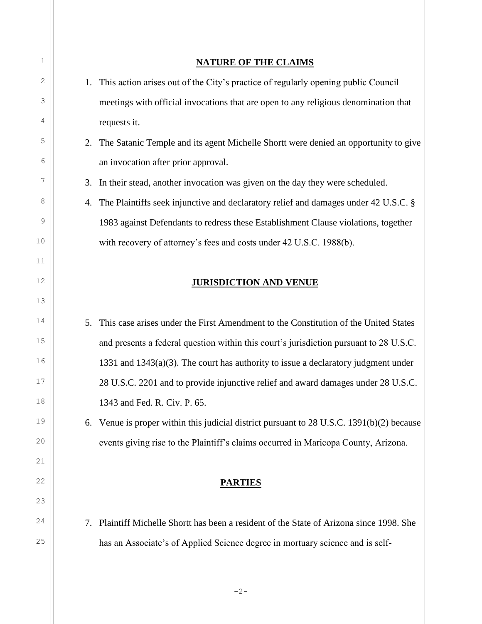## **NATURE OF THE CLAIMS**

1. This action arises out of the City's practice of regularly opening public Council meetings with official invocations that are open to any religious denomination that requests it.

2. The Satanic Temple and its agent Michelle Shortt were denied an opportunity to give an invocation after prior approval.

3. In their stead, another invocation was given on the day they were scheduled.

4. The Plaintiffs seek injunctive and declaratory relief and damages under 42 U.S.C. § 1983 against Defendants to redress these Establishment Clause violations, together with recovery of attorney's fees and costs under 42 U.S.C. 1988(b).

# **JURISDICTION AND VENUE**

5. This case arises under the First Amendment to the Constitution of the United States and presents a federal question within this court's jurisdiction pursuant to 28 U.S.C. 1331 and 1343(a)(3). The court has authority to issue a declaratory judgment under 28 U.S.C. 2201 and to provide injunctive relief and award damages under 28 U.S.C. 1343 and Fed. R. Civ. P. 65.

6. Venue is proper within this judicial district pursuant to 28 U.S.C. 1391(b)(2) because events giving rise to the Plaintiff's claims occurred in Maricopa County, Arizona.

# **PARTIES**

7. Plaintiff Michelle Shortt has been a resident of the State of Arizona since 1998. She has an Associate's of Applied Science degree in mortuary science and is self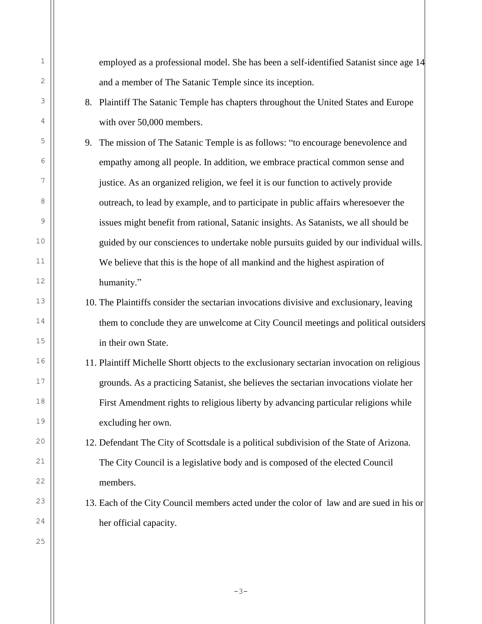employed as a professional model. She has been a self-identified Satanist since age 14 and a member of The Satanic Temple since its inception.

- 8. Plaintiff The Satanic Temple has chapters throughout the United States and Europe with over 50,000 members.
- 9. The mission of The Satanic Temple is as follows: "to encourage benevolence and empathy among all people. In addition, we embrace practical common sense and justice. As an organized religion, we feel it is our function to actively provide outreach, to lead by example, and to participate in public affairs wheresoever the issues might benefit from rational, Satanic insights. As Satanists, we all should be guided by our consciences to undertake noble pursuits guided by our individual wills. We believe that this is the hope of all mankind and the highest aspiration of humanity."
- 10. The Plaintiffs consider the sectarian invocations divisive and exclusionary, leaving them to conclude they are unwelcome at City Council meetings and political outsiders in their own State.
- 11. Plaintiff Michelle Shortt objects to the exclusionary sectarian invocation on religious grounds. As a practicing Satanist, she believes the sectarian invocations violate her First Amendment rights to religious liberty by advancing particular religions while excluding her own.
- 12. Defendant The City of Scottsdale is a political subdivision of the State of Arizona. The City Council is a legislative body and is composed of the elected Council members.
- 13. Each of the City Council members acted under the color of law and are sued in his or her official capacity.

25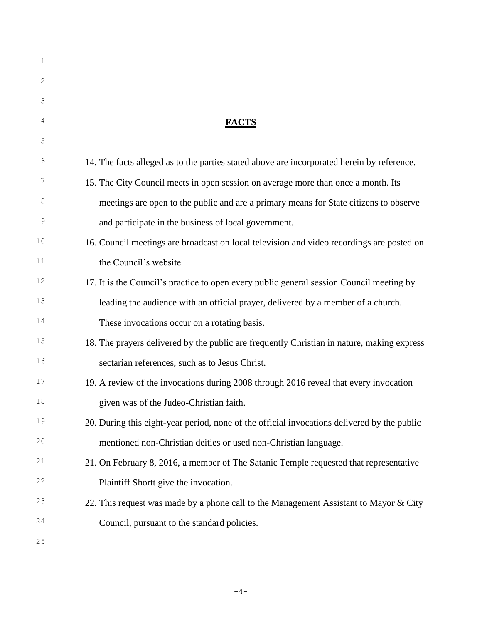14. The facts alleged as to the parties stated above are incorporated herein by reference. 15. The City Council meets in open session on average more than once a month. Its meetings are open to the public and are a primary means for State citizens to observe

**FACTS**

and participate in the business of local government. 16. Council meetings are broadcast on local television and video recordings are posted on

- the Council's website.
- 17. It is the Council's practice to open every public general session Council meeting by leading the audience with an official prayer, delivered by a member of a church. These invocations occur on a rotating basis.
- 18. The prayers delivered by the public are frequently Christian in nature, making express sectarian references, such as to Jesus Christ.
- 19. A review of the invocations during 2008 through 2016 reveal that every invocation given was of the Judeo-Christian faith.
- 20. During this eight-year period, none of the official invocations delivered by the public mentioned non-Christian deities or used non-Christian language.
- 21. On February 8, 2016, a member of The Satanic Temple requested that representative Plaintiff Shortt give the invocation.
- 22. This request was made by a phone call to the Management Assistant to Mayor  $& City$ Council, pursuant to the standard policies.

 $-4-$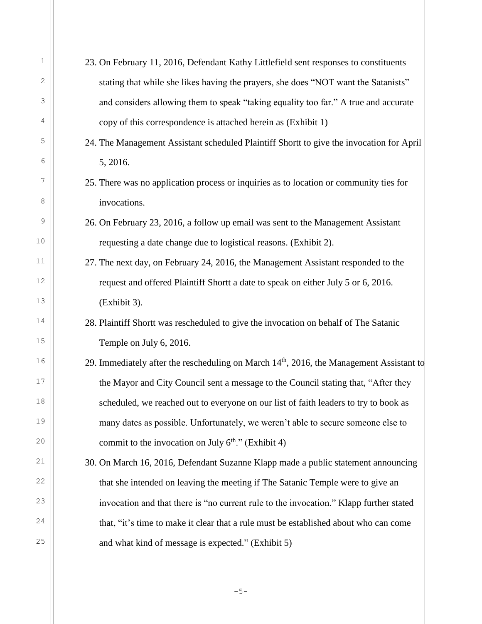23. On February 11, 2016, Defendant Kathy Littlefield sent responses to constituents stating that while she likes having the prayers, she does "NOT want the Satanists" and considers allowing them to speak "taking equality too far." A true and accurate copy of this correspondence is attached herein as (Exhibit 1) 24. The Management Assistant scheduled Plaintiff Shortt to give the invocation for April 5, 2016. 25. There was no application process or inquiries as to location or community ties for invocations. 26. On February 23, 2016, a follow up email was sent to the Management Assistant requesting a date change due to logistical reasons. (Exhibit 2). 27. The next day, on February 24, 2016, the Management Assistant responded to the request and offered Plaintiff Shortt a date to speak on either July 5 or 6, 2016. (Exhibit 3). 28. Plaintiff Shortt was rescheduled to give the invocation on behalf of The Satanic Temple on July 6, 2016. 29. Immediately after the rescheduling on March  $14<sup>th</sup>$ , 2016, the Management Assistant to the Mayor and City Council sent a message to the Council stating that, "After they scheduled, we reached out to everyone on our list of faith leaders to try to book as many dates as possible. Unfortunately, we weren't able to secure someone else to commit to the invocation on July  $6<sup>th</sup>$ ." (Exhibit 4) 30. On March 16, 2016, Defendant Suzanne Klapp made a public statement announcing that she intended on leaving the meeting if The Satanic Temple were to give an invocation and that there is "no current rule to the invocation." Klapp further stated that, "it's time to make it clear that a rule must be established about who can come and what kind of message is expected." (Exhibit 5)

1

2

3

4

5

6

7

8

9

10

11

12

13

14

15

16

17

18

19

20

21

22

23

24

25

 $-5-$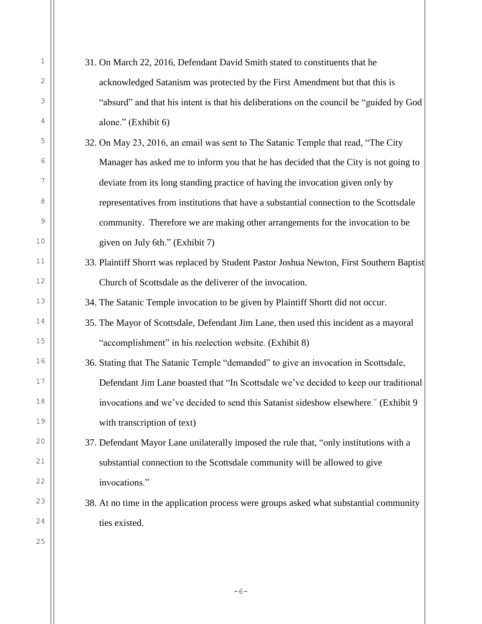31. On March 22, 2016, Defendant David Smith stated to constituents that he acknowledged Satanism was protected by the First Amendment but that this is "absurd" and that his intent is that his deliberations on the council be "guided by God alone." (Exhibit 6) 32. On May 23, 2016, an email was sent to The Satanic Temple that read, "The City Manager has asked me to inform you that he has decided that the City is not going to deviate from its long standing practice of having the invocation given only by representatives from institutions that have a substantial connection to the Scottsdale community. Therefore we are making other arrangements for the invocation to be given on July 6th." (Exhibit 7) 33. Plaintiff Shorrt was replaced by Student Pastor Joshua Newton, First Southern Baptist Church of Scottsdale as the deliverer of the invocation. 34. The Satanic Temple invocation to be given by Plaintiff Shortt did not occur. 35. The Mayor of Scottsdale, Defendant Jim Lane, then used this incident as a mayoral "accomplishment" in his reelection website. (Exhibit 8) 36. Stating that The Satanic Temple "demanded" to give an invocation in Scottsdale, Defendant Jim Lane boasted that "In Scottsdale we've decided to keep our traditional invocations and we've decided to send this Satanist sideshow elsewhere." (Exhibit 9 with transcription of text) 37. Defendant Mayor Lane unilaterally imposed the rule that, "only institutions with a

substantial connection to the Scottsdale community will be allowed to give invocations."

38. At no time in the application process were groups asked what substantial community ties existed.

 $-6-$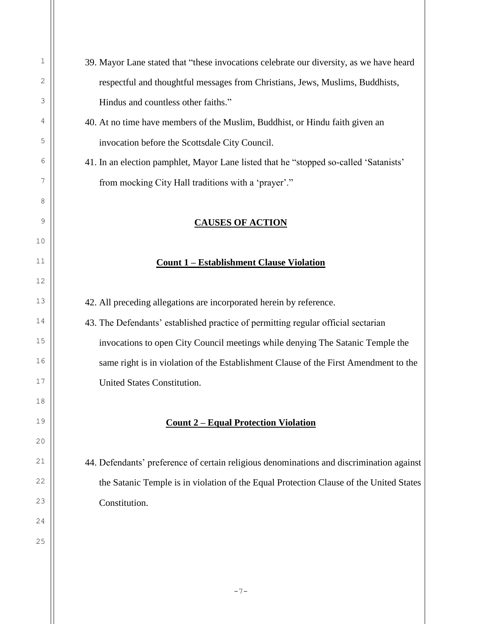- 39. Mayor Lane stated that "these invocations celebrate our diversity, as we have heard respectful and thoughtful messages from Christians, Jews, Muslims, Buddhists, Hindus and countless other faiths."
- 40. At no time have members of the Muslim, Buddhist, or Hindu faith given an invocation before the Scottsdale City Council.
- 41. In an election pamphlet, Mayor Lane listed that he "stopped so-called 'Satanists' from mocking City Hall traditions with a 'prayer'."

## **CAUSES OF ACTION**

#### **Count 1 – Establishment Clause Violation**

42. All preceding allegations are incorporated herein by reference.

43. The Defendants' established practice of permitting regular official sectarian invocations to open City Council meetings while denying The Satanic Temple the same right is in violation of the Establishment Clause of the First Amendment to the United States Constitution.

#### **Count 2 – Equal Protection Violation**

44. Defendants' preference of certain religious denominations and discrimination against the Satanic Temple is in violation of the Equal Protection Clause of the United States Constitution.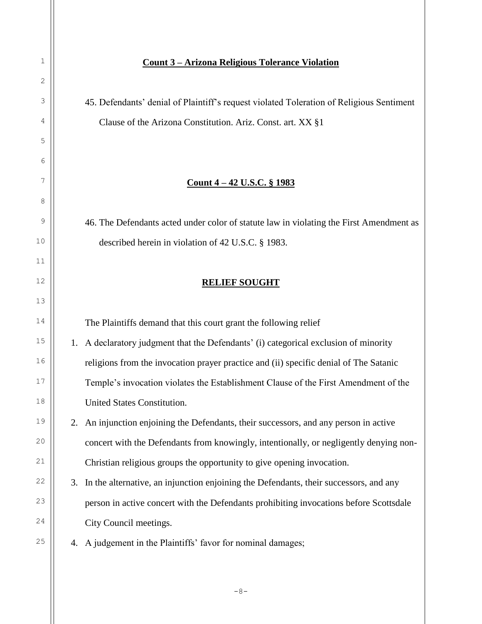### **Count 3 – Arizona Religious Tolerance Violation**

45. Defendants' denial of Plaintiff's request violated Toleration of Religious Sentiment Clause of the Arizona Constitution. Ariz. Const. art. XX §1

## **Count 4 – 42 U.S.C. § 1983**

46. The Defendants acted under color of statute law in violating the First Amendment as described herein in violation of 42 U.S.C. § 1983.

## **RELIEF SOUGHT**

The Plaintiffs demand that this court grant the following relief

1. A declaratory judgment that the Defendants' (i) categorical exclusion of minority religions from the invocation prayer practice and (ii) specific denial of The Satanic Temple's invocation violates the Establishment Clause of the First Amendment of the United States Constitution.

2. An injunction enjoining the Defendants, their successors, and any person in active concert with the Defendants from knowingly, intentionally, or negligently denying non-Christian religious groups the opportunity to give opening invocation.

- 3. In the alternative, an injunction enjoining the Defendants, their successors, and any person in active concert with the Defendants prohibiting invocations before Scottsdale City Council meetings.
- 4. A judgement in the Plaintiffs' favor for nominal damages;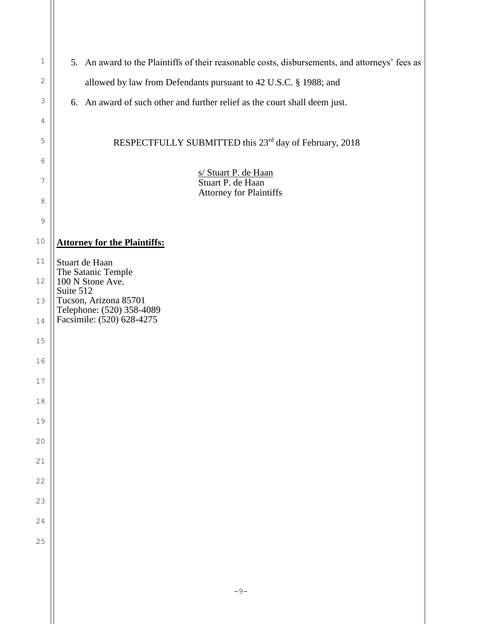| $1\,$       | 5. An award to the Plaintiffs of their reasonable costs, disbursements, and attorneys' fees as |  |
|-------------|------------------------------------------------------------------------------------------------|--|
| 2           | allowed by law from Defendants pursuant to 42 U.S.C. § 1988; and                               |  |
| 3           | 6. An award of such other and further relief as the court shall deem just.                     |  |
| 4           |                                                                                                |  |
| 5           | RESPECTFULLY SUBMITTED this 23rd day of February, 2018                                         |  |
| 6           | s/ Stuart P. de Haan                                                                           |  |
| 7           | Stuart P. de Haan<br><b>Attorney for Plaintiffs</b>                                            |  |
| 8           |                                                                                                |  |
| $\mathsf 9$ |                                                                                                |  |
| 10          | <b>Attorney for the Plaintiffs:</b>                                                            |  |
| 11          | Stuart de Haan<br>The Satanic Temple                                                           |  |
| $12$        | 100 N Stone Ave.<br>Suite 512                                                                  |  |
| 13          | Tucson, Arizona 85701<br>Telephone: (520) 358-4089                                             |  |
| 14          | Facsimile: (520) 628-4275                                                                      |  |
| $15$        |                                                                                                |  |
| 16          |                                                                                                |  |
| 17          |                                                                                                |  |
| $18$        |                                                                                                |  |
| 19          |                                                                                                |  |
| 20          |                                                                                                |  |
| 21          |                                                                                                |  |
| 22          |                                                                                                |  |
| 23          |                                                                                                |  |
| 24          |                                                                                                |  |
| 25          |                                                                                                |  |
|             |                                                                                                |  |
|             |                                                                                                |  |